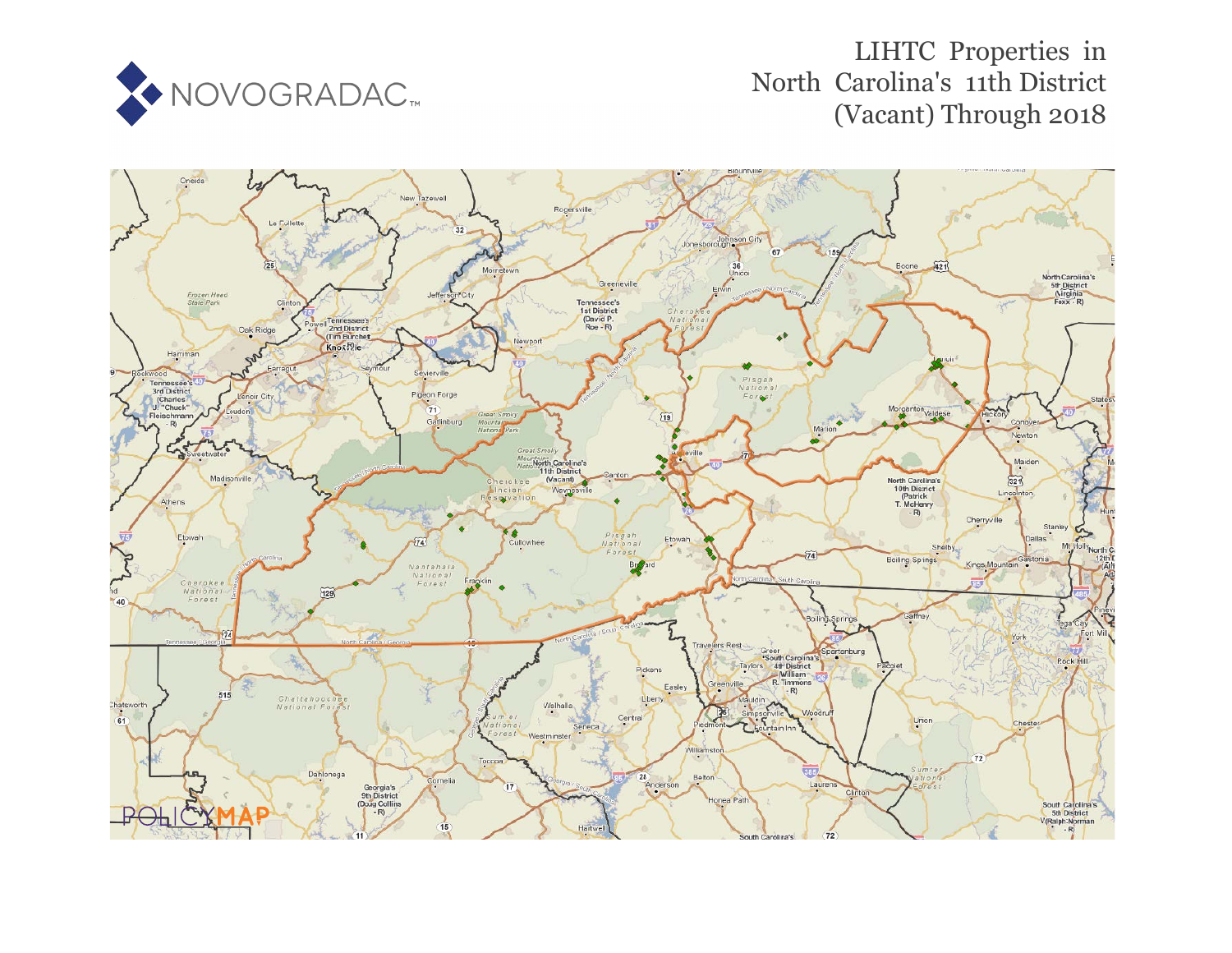

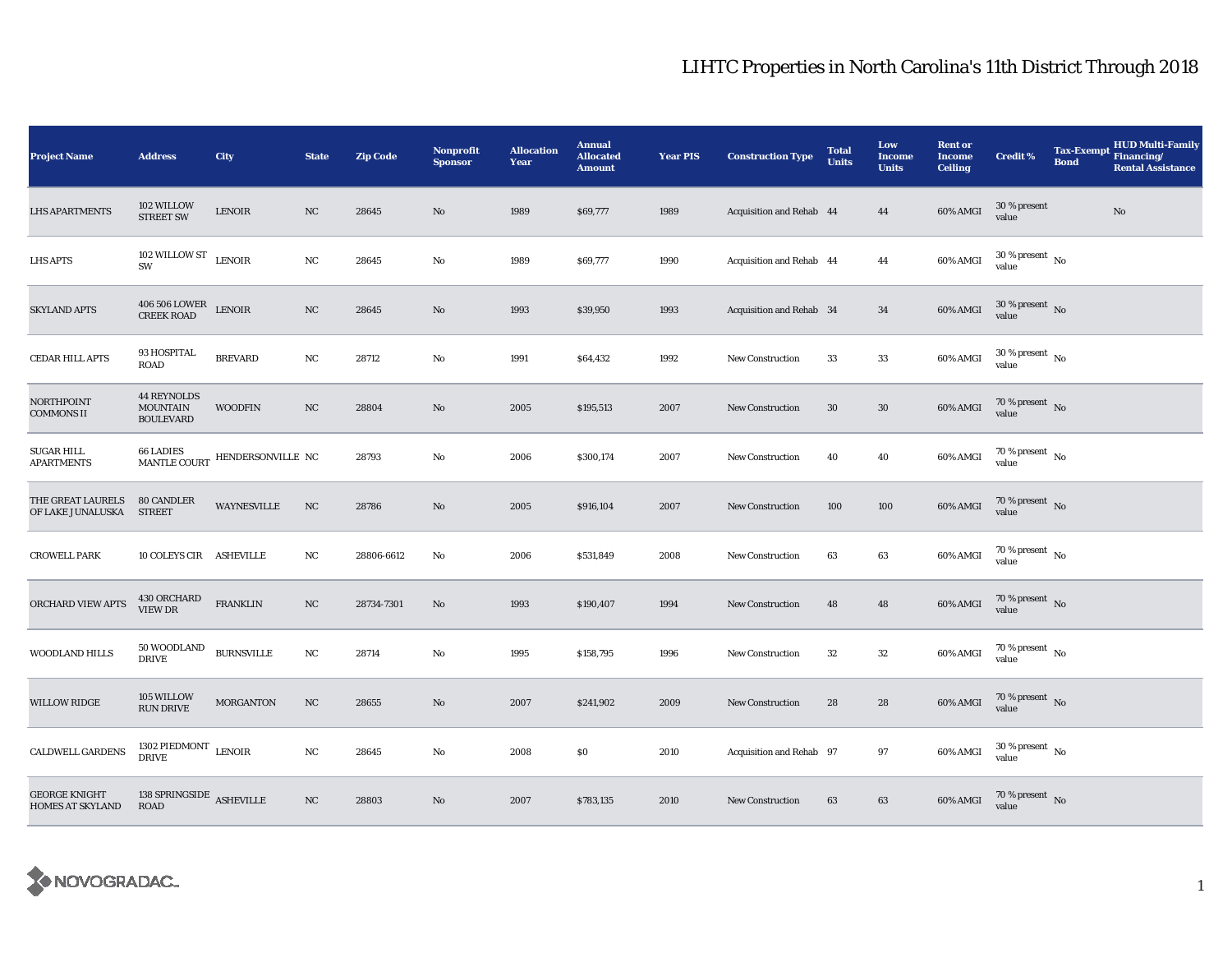| <b>Project Name</b>                             | <b>Address</b>                                            | City                           | <b>State</b>     | <b>Zip Code</b> | Nonprofit<br><b>Sponsor</b> | <b>Allocation</b><br>Year | <b>Annual</b><br><b>Allocated</b><br><b>Amount</b> | <b>Year PIS</b> | <b>Construction Type</b> | <b>Total</b><br><b>Units</b> | Low<br><b>Income</b><br><b>Units</b> | <b>Rent or</b><br><b>Income</b><br><b>Ceiling</b> | <b>Credit %</b>                        | <b>Bond</b> | <b>HUD Multi-Family</b><br>Tax-Exempt Financing/<br><b>Rental Assistance</b> |
|-------------------------------------------------|-----------------------------------------------------------|--------------------------------|------------------|-----------------|-----------------------------|---------------------------|----------------------------------------------------|-----------------|--------------------------|------------------------------|--------------------------------------|---------------------------------------------------|----------------------------------------|-------------|------------------------------------------------------------------------------|
| <b>LHS APARTMENTS</b>                           | 102 WILLOW<br><b>STREET SW</b>                            | <b>LENOIR</b>                  | $_{\rm NC}$      | 28645           | No                          | 1989                      | \$69,777                                           | 1989            | Acquisition and Rehab 44 |                              | 44                                   | 60% AMGI                                          | 30 % present<br>value                  |             | No                                                                           |
| <b>LHS APTS</b>                                 | 102 WILLOW ST $$\sf LENOIR$$<br>SW                        |                                | NC               | 28645           | No                          | 1989                      | \$69,777                                           | 1990            | Acquisition and Rehab 44 |                              | 44                                   | 60% AMGI                                          | $30\,\%$ present $\,$ No $\,$<br>value |             |                                                                              |
| <b>SKYLAND APTS</b>                             | $406\,506$ LOWER $$\tt LENOIR$$ CREEK ROAD                |                                | NC               | 28645           | No                          | 1993                      | \$39,950                                           | 1993            | Acquisition and Rehab 34 |                              | 34                                   | 60% AMGI                                          | $30\,\%$ present $\,$ No value         |             |                                                                              |
| CEDAR HILL APTS                                 | 93 HOSPITAL<br><b>ROAD</b>                                | <b>BREVARD</b>                 | NC               | 28712           | No                          | 1991                      | \$64,432                                           | 1992            | <b>New Construction</b>  | 33                           | 33                                   | 60% AMGI                                          | $30$ % present $\,$ No $\,$<br>value   |             |                                                                              |
| NORTHPOINT<br><b>COMMONS II</b>                 | <b>44 REYNOLDS</b><br><b>MOUNTAIN</b><br><b>BOULEVARD</b> | <b>WOODFIN</b>                 | $_{\rm NC}$      | 28804           | No                          | 2005                      | \$195,513                                          | 2007            | <b>New Construction</b>  | $30\,$                       | $30\,$                               | 60% AMGI                                          | $70\,\%$ present $\,$ No value         |             |                                                                              |
| <b>SUGAR HILL</b><br><b>APARTMENTS</b>          |                                                           | MANTLE COURT HENDERSONVILLE NC |                  | 28793           | No                          | 2006                      | \$300,174                                          | 2007            | <b>New Construction</b>  | 40                           | 40                                   | 60% AMGI                                          | $70\,\%$ present $\,$ No value         |             |                                                                              |
| THE GREAT LAURELS<br>OF LAKE JUNALUSKA          | <b>80 CANDLER</b><br><b>STREET</b>                        | <b>WAYNESVILLE</b>             | $_{\rm NC}$      | 28786           | No                          | 2005                      | \$916,104                                          | 2007            | <b>New Construction</b>  | 100                          | 100                                  | 60% AMGI                                          | $70\,\%$ present $\,$ No value         |             |                                                                              |
| <b>CROWELL PARK</b>                             | 10 COLEYS CIR ASHEVILLE                                   |                                | NC               | 28806-6612      | No                          | 2006                      | \$531,849                                          | 2008            | <b>New Construction</b>  | 63                           | 63                                   | 60% AMGI                                          | $70\,\%$ present $\,$ No value         |             |                                                                              |
| ORCHARD VIEW APTS                               | 430 ORCHARD<br>VIEW DR                                    | <b>FRANKLIN</b>                | $_{\mathrm{NC}}$ | 28734-7301      | $\mathbf{No}$               | 1993                      | \$190,407                                          | 1994            | <b>New Construction</b>  | 48                           | 48                                   | 60% AMGI                                          | $70$ % present $_{\rm{No}}$            |             |                                                                              |
| <b>WOODLAND HILLS</b>                           | 50 WOODLAND<br><b>DRIVE</b>                               | <b>BURNSVILLE</b>              | NC               | 28714           | No                          | 1995                      | \$158,795                                          | 1996            | New Construction         | 32                           | 32                                   | 60% AMGI                                          | $70$ % present $\,$ No $\,$<br>value   |             |                                                                              |
| <b>WILLOW RIDGE</b>                             | 105 WILLOW<br><b>RUN DRIVE</b>                            | <b>MORGANTON</b>               | NC               | 28655           | No                          | 2007                      | \$241,902                                          | 2009            | <b>New Construction</b>  | 28                           | 28                                   | 60% AMGI                                          | $70$ % present $$\rm \, No$$ value     |             |                                                                              |
| <b>CALDWELL GARDENS</b>                         | $1302$ PIEDMONT $\,$ LENOIR DRIVE                         |                                | $_{\rm NC}$      | 28645           | No                          | 2008                      | \$0                                                | 2010            | Acquisition and Rehab 97 |                              | $\bf{97}$                            | 60% AMGI                                          | $30$ % present $\,$ No value           |             |                                                                              |
| <b>GEORGE KNIGHT</b><br><b>HOMES AT SKYLAND</b> | 138 SPRINGSIDE ASHEVILLE<br><b>ROAD</b>                   |                                | $_{\mathrm{NC}}$ | 28803           | No                          | 2007                      | \$783,135                                          | 2010            | <b>New Construction</b>  | 63                           | 63                                   | 60% AMGI                                          | $70\,\%$ present $\,$ No value         |             |                                                                              |

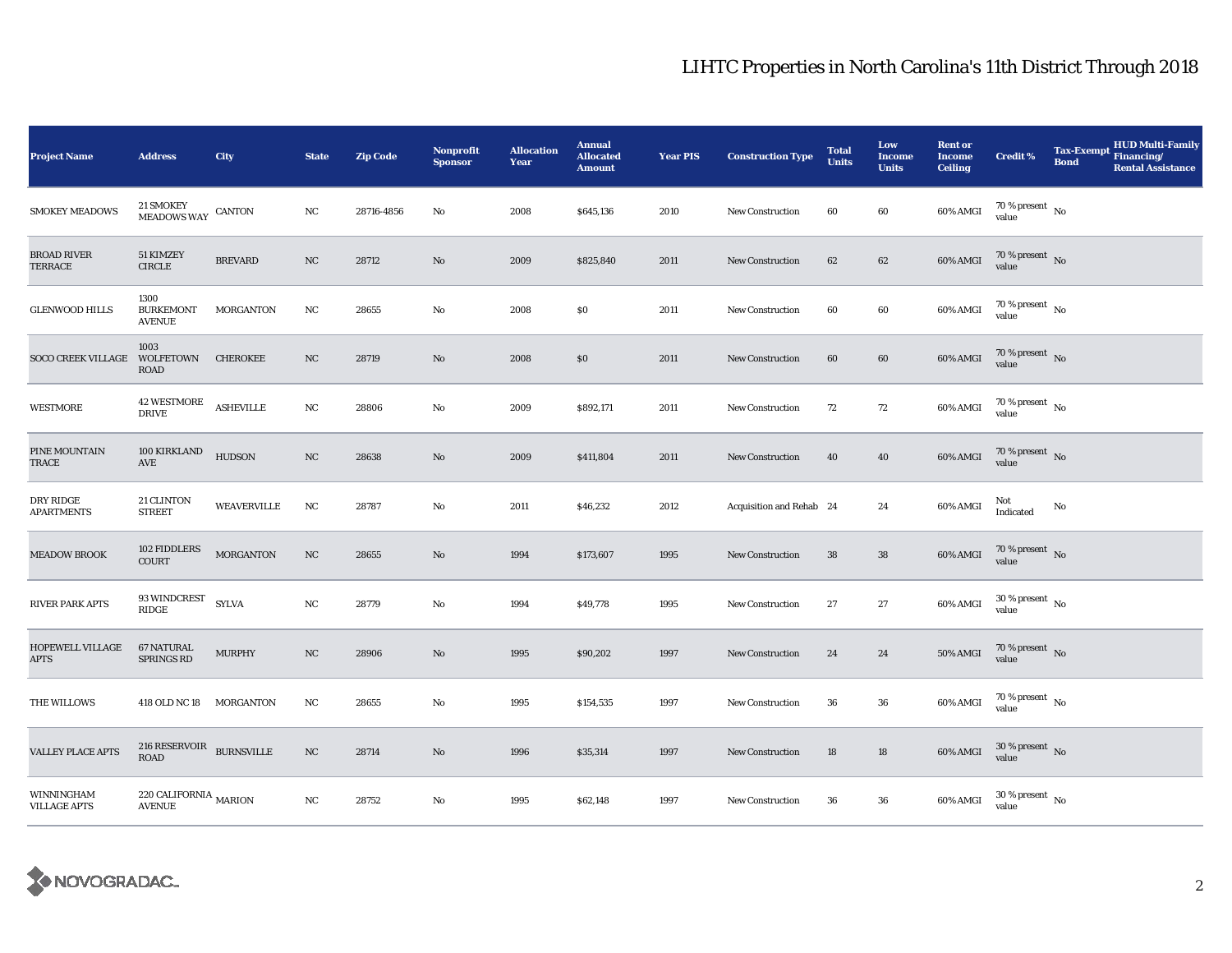| <b>Project Name</b>               | <b>Address</b>                            | City               | <b>State</b>     | <b>Zip Code</b> | <b>Nonprofit</b><br><b>Sponsor</b> | <b>Allocation</b><br>Year | <b>Annual</b><br><b>Allocated</b><br><b>Amount</b> | <b>Year PIS</b> | <b>Construction Type</b> | <b>Total</b><br><b>Units</b> | Low<br><b>Income</b><br><b>Units</b> | <b>Rent or</b><br><b>Income</b><br><b>Ceiling</b> | <b>Credit %</b>                        | <b>HUD Multi-Family</b><br>Tax-Exempt Financing/<br><b>Bond</b><br><b>Rental Assistance</b> |
|-----------------------------------|-------------------------------------------|--------------------|------------------|-----------------|------------------------------------|---------------------------|----------------------------------------------------|-----------------|--------------------------|------------------------------|--------------------------------------|---------------------------------------------------|----------------------------------------|---------------------------------------------------------------------------------------------|
| <b>SMOKEY MEADOWS</b>             | 21 SMOKEY<br><b>MEADOWS WAY</b>           | CANTON             | NC               | 28716-4856      | No                                 | 2008                      | \$645,136                                          | 2010            | <b>New Construction</b>  | 60                           | 60                                   | 60% AMGI                                          | 70 % present $\hbox{~No}$<br>value     |                                                                                             |
| <b>BROAD RIVER</b><br>TERRACE     | 51 KIMZEY<br><b>CIRCLE</b>                | <b>BREVARD</b>     | NC               | 28712           | No                                 | 2009                      | \$825,840                                          | 2011            | <b>New Construction</b>  | 62                           | 62                                   | 60% AMGI                                          | $70\%$ present No<br>value             |                                                                                             |
| <b>GLENWOOD HILLS</b>             | 1300<br><b>BURKEMONT</b><br><b>AVENUE</b> | MORGANTON          | NC               | 28655           | No                                 | 2008                      | \$0                                                | 2011            | New Construction         | 60                           | 60                                   | 60% AMGI                                          | 70 % present $\hbox{~No}$<br>value     |                                                                                             |
| <b>SOCO CREEK VILLAGE</b>         | 1003<br>WOLFETOWN<br><b>ROAD</b>          | <b>CHEROKEE</b>    | NC               | 28719           | No                                 | 2008                      | \$0                                                | 2011            | New Construction         | 60                           | 60                                   | 60% AMGI                                          | 70 % present $\hbox{~No}$<br>value     |                                                                                             |
| <b>WESTMORE</b>                   | <b>42 WESTMORE</b><br><b>DRIVE</b>        | <b>ASHEVILLE</b>   | NC               | 28806           | No                                 | 2009                      | \$892,171                                          | 2011            | <b>New Construction</b>  | 72                           | 72                                   | 60% AMGI                                          | $70\,\%$ present $\,$ No value         |                                                                                             |
| PINE MOUNTAIN<br>TRACE            | 100 KIRKLAND<br>AVE                       | <b>HUDSON</b>      | $_{\mathrm{NC}}$ | 28638           | No                                 | 2009                      | \$411,804                                          | 2011            | <b>New Construction</b>  | 40                           | 40                                   | 60% AMGI                                          | $70\,\%$ present $\,$ No value         |                                                                                             |
| DRY RIDGE<br><b>APARTMENTS</b>    | 21 CLINTON<br><b>STREET</b>               | <b>WEAVERVILLE</b> | $_{\rm NC}$      | 28787           | No                                 | 2011                      | \$46,232                                           | 2012            | Acquisition and Rehab 24 |                              | 24                                   | 60% AMGI                                          | Not<br>Indicated                       | No                                                                                          |
| <b>MEADOW BROOK</b>               | 102 FIDDLERS<br><b>COURT</b>              | <b>MORGANTON</b>   | $_{\rm NC}$      | 28655           | No                                 | 1994                      | \$173,607                                          | 1995            | <b>New Construction</b>  | 38                           | ${\bf 38}$                           | 60% AMGI                                          | $70\,\%$ present $\,$ No value         |                                                                                             |
| RIVER PARK APTS                   | $93\,$ WINDCREST<br>$\mathbf{RIDGE}$      | <b>SYLVA</b>       | NC               | 28779           | No                                 | 1994                      | \$49,778                                           | 1995            | New Construction         | $\bf 27$                     | 27                                   | 60% AMGI                                          | $30\,\%$ present $\,$ No $\,$<br>value |                                                                                             |
| HOPEWELL VILLAGE<br><b>APTS</b>   | <b>67 NATURAL</b><br><b>SPRINGS RD</b>    | <b>MURPHY</b>      | NC               | 28906           | No                                 | 1995                      | \$90,202                                           | 1997            | New Construction         | 24                           | 24                                   | <b>50% AMGI</b>                                   | $70\,\%$ present $\,$ No value         |                                                                                             |
| THE WILLOWS                       | 418 OLD NC 18 MORGANTON                   |                    | NC               | 28655           | No                                 | 1995                      | \$154,535                                          | 1997            | <b>New Construction</b>  | 36                           | 36                                   | 60% AMGI                                          | 70 % present $\hbox{~No}$<br>value     |                                                                                             |
| <b>VALLEY PLACE APTS</b>          | $216$ RESERVOIR $$\tt BURNSVILLE$$        |                    | $_{\mathrm{NC}}$ | 28714           | No                                 | 1996                      | \$35,314                                           | 1997            | <b>New Construction</b>  | 18                           | 18                                   | 60% AMGI                                          | $30\,\%$ present $\,$ No value         |                                                                                             |
| WINNINGHAM<br><b>VILLAGE APTS</b> | 220 CALIFORNIA MARION<br><b>AVENUE</b>    |                    | NC               | 28752           | No                                 | 1995                      | \$62,148                                           | 1997            | <b>New Construction</b>  | ${\bf 36}$                   | $36\,$                               | 60% AMGI                                          | $30\,\%$ present $\,$ No value         |                                                                                             |

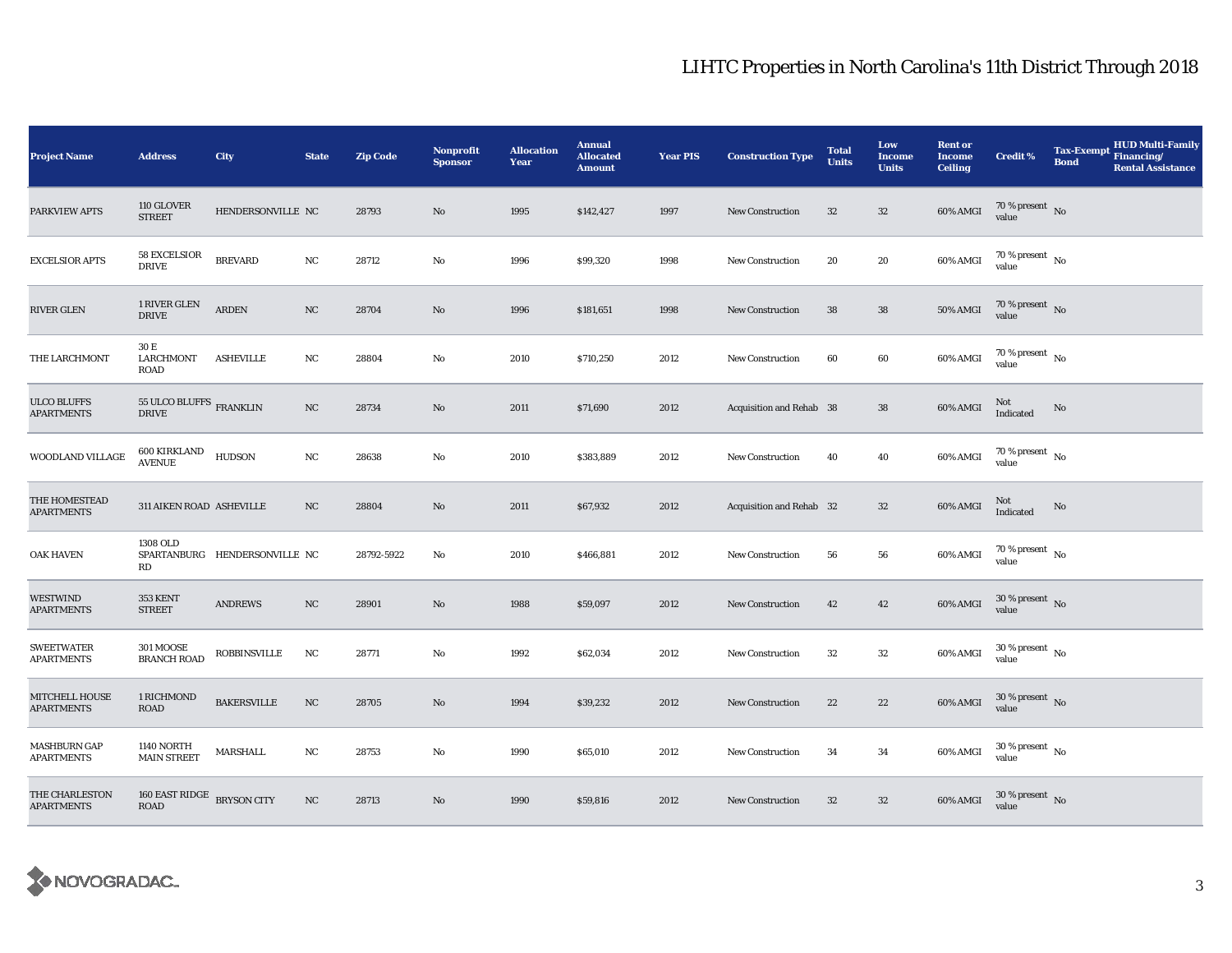| <b>Project Name</b>                      | <b>Address</b>                            | <b>City</b>                   | <b>State</b> | <b>Zip Code</b> | <b>Nonprofit</b><br><b>Sponsor</b> | <b>Allocation</b><br>Year | <b>Annual</b><br><b>Allocated</b><br><b>Amount</b> | <b>Year PIS</b> | <b>Construction Type</b> | <b>Total</b><br><b>Units</b> | Low<br><b>Income</b><br><b>Units</b> | <b>Rent or</b><br><b>Income</b><br><b>Ceiling</b> | <b>Credit %</b>                        | <b>Tax-Exempt</b><br><b>Bond</b> | <b>HUD Multi-Family</b><br>Financing/<br><b>Rental Assistance</b> |
|------------------------------------------|-------------------------------------------|-------------------------------|--------------|-----------------|------------------------------------|---------------------------|----------------------------------------------------|-----------------|--------------------------|------------------------------|--------------------------------------|---------------------------------------------------|----------------------------------------|----------------------------------|-------------------------------------------------------------------|
| PARKVIEW APTS                            | 110 GLOVER<br><b>STREET</b>               | HENDERSONVILLE NC             |              | 28793           | No                                 | 1995                      | \$142,427                                          | 1997            | <b>New Construction</b>  | $32\,$                       | $32\,$                               | 60% AMGI                                          | $70\,\%$ present $\,$ No value         |                                  |                                                                   |
| <b>EXCELSIOR APTS</b>                    | <b>58 EXCELSIOR</b><br><b>DRIVE</b>       | <b>BREVARD</b>                | $_{\rm NC}$  | 28712           | $\rm No$                           | 1996                      | \$99,320                                           | 1998            | <b>New Construction</b>  | 20                           | 20                                   | 60% AMGI                                          | $70$ % present $\,$ No $\,$<br>value   |                                  |                                                                   |
| RIVER GLEN                               | 1 RIVER GLEN<br><b>DRIVE</b>              | ${\tt ARDEN}$                 | NC           | 28704           | No                                 | 1996                      | \$181,651                                          | 1998            | <b>New Construction</b>  | 38                           | ${\bf 38}$                           | <b>50% AMGI</b>                                   | $70\,\%$ present $\,$ No value         |                                  |                                                                   |
| THE LARCHMONT                            | 30 E<br><b>LARCHMONT</b><br><b>ROAD</b>   | <b>ASHEVILLE</b>              | NC           | 28804           | No                                 | 2010                      | \$710,250                                          | 2012            | New Construction         | 60                           | 60                                   | 60% AMGI                                          | $70$ % present $\,$ No $\,$<br>value   |                                  |                                                                   |
| <b>ULCO BLUFFS</b><br><b>APARTMENTS</b>  | 55 ULCO BLUFFS FRANKLIN<br><b>DRIVE</b>   |                               | NC           | 28734           | No                                 | 2011                      | \$71,690                                           | 2012            | Acquisition and Rehab 38 |                              | ${\bf 38}$                           | 60% AMGI                                          | Not<br>Indicated                       | No                               |                                                                   |
| WOODLAND VILLAGE                         | $600\,$ KIRKLAND<br><b>AVENUE</b>         | <b>HUDSON</b>                 | NC           | 28638           | $\rm\thinspace No$                 | 2010                      | \$383,889                                          | 2012            | New Construction         | 40                           | 40                                   | 60% AMGI                                          | 70 % present $\hbox{~No}$<br>value     |                                  |                                                                   |
| THE HOMESTEAD<br><b>APARTMENTS</b>       | 311 AIKEN ROAD ASHEVILLE                  |                               | NC           | 28804           | No                                 | 2011                      | \$67,932                                           | 2012            | Acquisition and Rehab 32 |                              | $32\,$                               | 60% AMGI                                          | Not<br>Indicated                       | $\rm No$                         |                                                                   |
| <b>OAK HAVEN</b>                         | 1308 OLD<br>RD                            | SPARTANBURG HENDERSONVILLE NC |              | 28792-5922      | No                                 | 2010                      | \$466,881                                          | 2012            | <b>New Construction</b>  | 56                           | ${\bf 56}$                           | 60% AMGI                                          | 70 % present $\hbox{~No}$<br>value     |                                  |                                                                   |
| <b>WESTWIND</b><br><b>APARTMENTS</b>     | 353 KENT<br><b>STREET</b>                 | <b>ANDREWS</b>                | NC           | 28901           | No                                 | 1988                      | \$59,097                                           | 2012            | New Construction         | 42                           | 42                                   | 60% AMGI                                          | $30\,\%$ present $\,$ No $\,$<br>value |                                  |                                                                   |
| <b>SWEETWATER</b><br><b>APARTMENTS</b>   | <b>301 MOOSE</b><br><b>BRANCH ROAD</b>    | <b>ROBBINSVILLE</b>           | NC           | 28771           | No                                 | 1992                      | \$62,034                                           | 2012            | New Construction         | 32                           | $32\,$                               | 60% AMGI                                          | $30\,\%$ present $\,$ No $\,$<br>value |                                  |                                                                   |
| MITCHELL HOUSE<br><b>APARTMENTS</b>      | 1 RICHMOND<br><b>ROAD</b>                 | <b>BAKERSVILLE</b>            | $_{\rm NC}$  | 28705           | No                                 | 1994                      | \$39,232                                           | 2012            | New Construction         | 22                           | 22                                   | 60% AMGI                                          | $30\,\%$ present $\,$ No $\,$<br>value |                                  |                                                                   |
| <b>MASHBURN GAP</b><br><b>APARTMENTS</b> | <b>1140 NORTH</b><br><b>MAIN STREET</b>   | MARSHALL                      | $_{\rm NC}$  | 28753           | $\rm No$                           | 1990                      | \$65,010                                           | 2012            | <b>New Construction</b>  | 34                           | 34                                   | 60% AMGI                                          | $30$ % present $\,$ No $\,$<br>value   |                                  |                                                                   |
| THE CHARLESTON<br><b>APARTMENTS</b>      | 160 EAST RIDGE BRYSON CITY<br><b>ROAD</b> |                               | $_{\rm NC}$  | 28713           | No                                 | 1990                      | \$59,816                                           | 2012            | <b>New Construction</b>  | 32                           | $32\,$                               | 60% AMGI                                          | $30\,\%$ present $\,$ No value         |                                  |                                                                   |

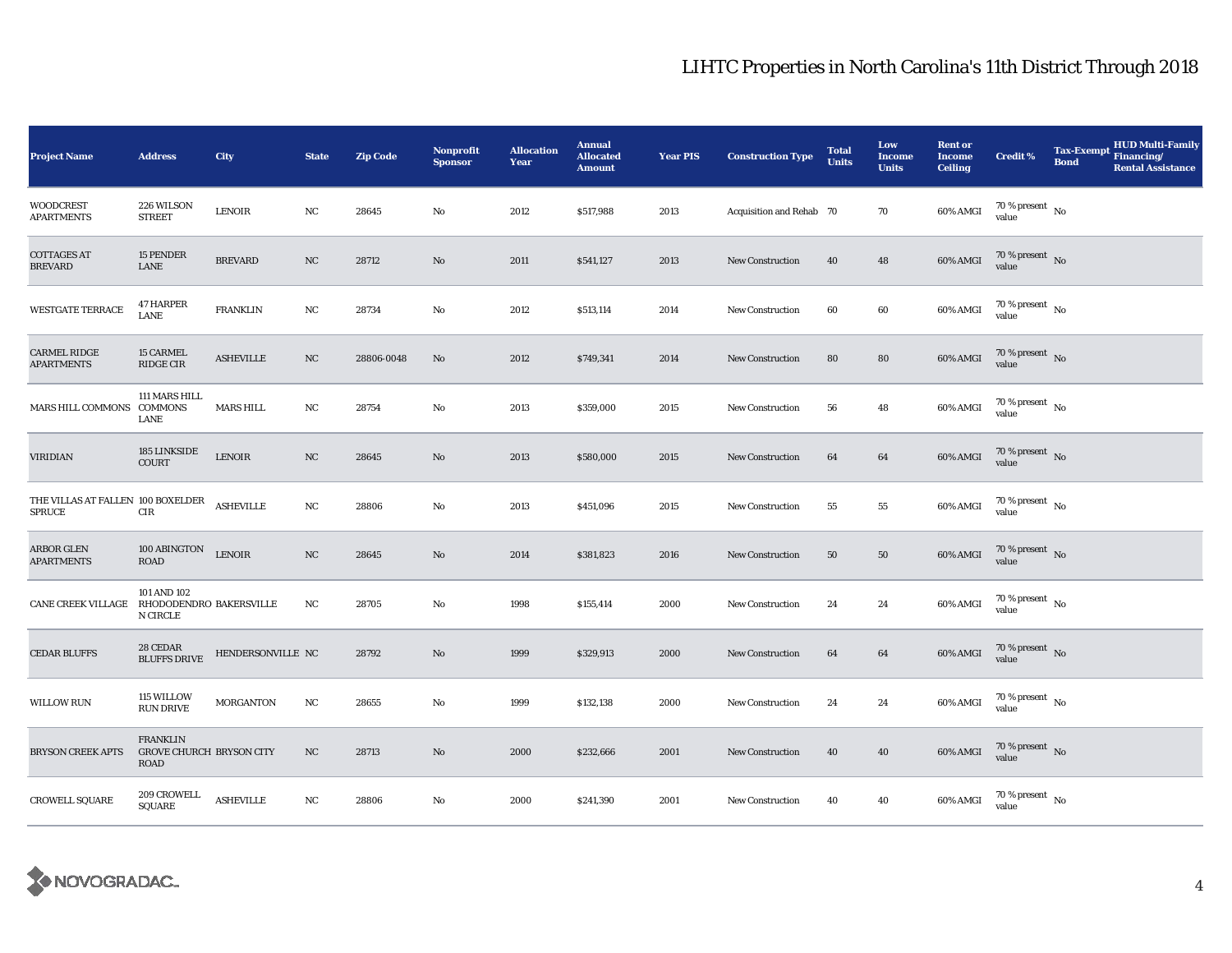| <b>Project Name</b>                         | <b>Address</b>                                                    | City                    | <b>State</b> | <b>Zip Code</b> | Nonprofit<br><b>Sponsor</b> | <b>Allocation</b><br>Year | <b>Annual</b><br><b>Allocated</b><br><b>Amount</b> | <b>Year PIS</b> | <b>Construction Type</b> | <b>Total</b><br><b>Units</b> | Low<br><b>Income</b><br><b>Units</b> | <b>Rent or</b><br><b>Income</b><br><b>Ceiling</b> | <b>Credit %</b>                          | <b>Tax-Exempt</b><br><b>Bond</b> | <b>HUD Multi-Family</b><br>Financing/<br><b>Rental Assistance</b> |
|---------------------------------------------|-------------------------------------------------------------------|-------------------------|--------------|-----------------|-----------------------------|---------------------------|----------------------------------------------------|-----------------|--------------------------|------------------------------|--------------------------------------|---------------------------------------------------|------------------------------------------|----------------------------------|-------------------------------------------------------------------|
| <b>WOODCREST</b><br><b>APARTMENTS</b>       | 226 WILSON<br><b>STREET</b>                                       | <b>LENOIR</b>           | NC           | 28645           | No                          | 2012                      | \$517,988                                          | 2013            | Acquisition and Rehab 70 |                              | 70                                   | 60% AMGI                                          | $70\,\%$ present $\,$ No value           |                                  |                                                                   |
| <b>COTTAGES AT</b><br>BREVARD               | 15 PENDER<br>LANE                                                 | <b>BREVARD</b>          | NC           | 28712           | No                          | 2011                      | \$541,127                                          | 2013            | <b>New Construction</b>  | 40                           | 48                                   | $60\%$ AMGI                                       | $70\%$ present No<br>value               |                                  |                                                                   |
| <b>WESTGATE TERRACE</b>                     | <b>47 HARPER</b><br>LANE                                          | <b>FRANKLIN</b>         | $_{\rm NC}$  | 28734           | No                          | 2012                      | \$513,114                                          | 2014            | <b>New Construction</b>  | 60                           | 60                                   | 60% AMGI                                          | $70\,\%$ present $\,$ No value           |                                  |                                                                   |
| <b>CARMEL RIDGE</b><br><b>APARTMENTS</b>    | <b>15 CARMEL</b><br>RIDGE CIR                                     | <b>ASHEVILLE</b>        | NC           | 28806-0048      | No                          | 2012                      | \$749,341                                          | 2014            | New Construction         | 80                           | 80                                   | 60% AMGI                                          | $70\%$ present No<br>value               |                                  |                                                                   |
| MARS HILL COMMONS                           | 111 MARS HILL<br><b>COMMONS</b><br><b>LANE</b>                    | <b>MARS HILL</b>        | NC           | 28754           | No                          | 2013                      | \$359,000                                          | 2015            | <b>New Construction</b>  | 56                           | 48                                   | 60% AMGI                                          | $70\,\%$ present $\,$ No $\,$<br>value   |                                  |                                                                   |
| <b>VIRIDIAN</b>                             | 185 LINKSIDE<br>COURT                                             | $\operatorname{LENOIR}$ | NC           | 28645           | No                          | 2013                      | \$580,000                                          | 2015            | New Construction         | 64                           | 64                                   | 60% AMGI                                          | $70\,\%$ present $\,$ No value           |                                  |                                                                   |
| THE VILLAS AT FALLEN 100 BOXELDER<br>SPRUCE | CIR                                                               | <b>ASHEVILLE</b>        | NC           | 28806           | No                          | 2013                      | \$451,096                                          | 2015            | New Construction         | 55                           | 55                                   | 60% AMGI                                          | $70\,\%$ present $_{\, \rm No}$<br>value |                                  |                                                                   |
| <b>ARBOR GLEN</b><br><b>APARTMENTS</b>      | 100 ABINGTON<br>ROAD                                              | <b>LENOIR</b>           | $_{\rm NC}$  | 28645           | $\mathbf{N}\mathbf{o}$      | 2014                      | \$381,823                                          | 2016            | <b>New Construction</b>  | $50\,$                       | $50\,$                               | 60% AMGI                                          | $70\,\%$ present $\,$ No value           |                                  |                                                                   |
| <b>CANE CREEK VILLAGE</b>                   | 101 AND 102<br>RHODODENDRO BAKERSVILLE<br>N CIRCLE                |                         | NC           | 28705           | No                          | 1998                      | \$155,414                                          | 2000            | New Construction         | 24                           | 24                                   | 60% AMGI                                          | $70\,\%$ present $\,$ No value           |                                  |                                                                   |
| <b>CEDAR BLUFFS</b>                         | 28 CEDAR<br><b>BLUFFS DRIVE</b>                                   | HENDERSONVILLE NC       |              | 28792           | No                          | 1999                      | \$329,913                                          | 2000            | <b>New Construction</b>  | 64                           | 64                                   | 60% AMGI                                          | $70\,\%$ present $\,$ No value           |                                  |                                                                   |
| <b>WILLOW RUN</b>                           | 115 WILLOW<br><b>RUN DRIVE</b>                                    | <b>MORGANTON</b>        | $_{\rm NC}$  | 28655           | No                          | 1999                      | \$132,138                                          | 2000            | <b>New Construction</b>  | 24                           | 24                                   | 60% AMGI                                          | $70\,\%$ present $\,$ No value           |                                  |                                                                   |
| <b>BRYSON CREEK APTS</b>                    | <b>FRANKLIN</b><br><b>GROVE CHURCH BRYSON CITY</b><br><b>ROAD</b> |                         | NC           | 28713           | No                          | 2000                      | \$232,666                                          | 2001            | <b>New Construction</b>  | 40                           | 40                                   | $60\%$ AMGI                                       | $70$ % present $$\rm{No}$$ value         |                                  |                                                                   |
| CROWELL SQUARE                              | 209 CROWELL<br>SQUARE                                             | <b>ASHEVILLE</b>        | NC           | 28806           | No                          | 2000                      | \$241,390                                          | 2001            | New Construction         | 40                           | 40                                   | 60% AMGI                                          | $70\,\%$ present $\,$ No value           |                                  |                                                                   |

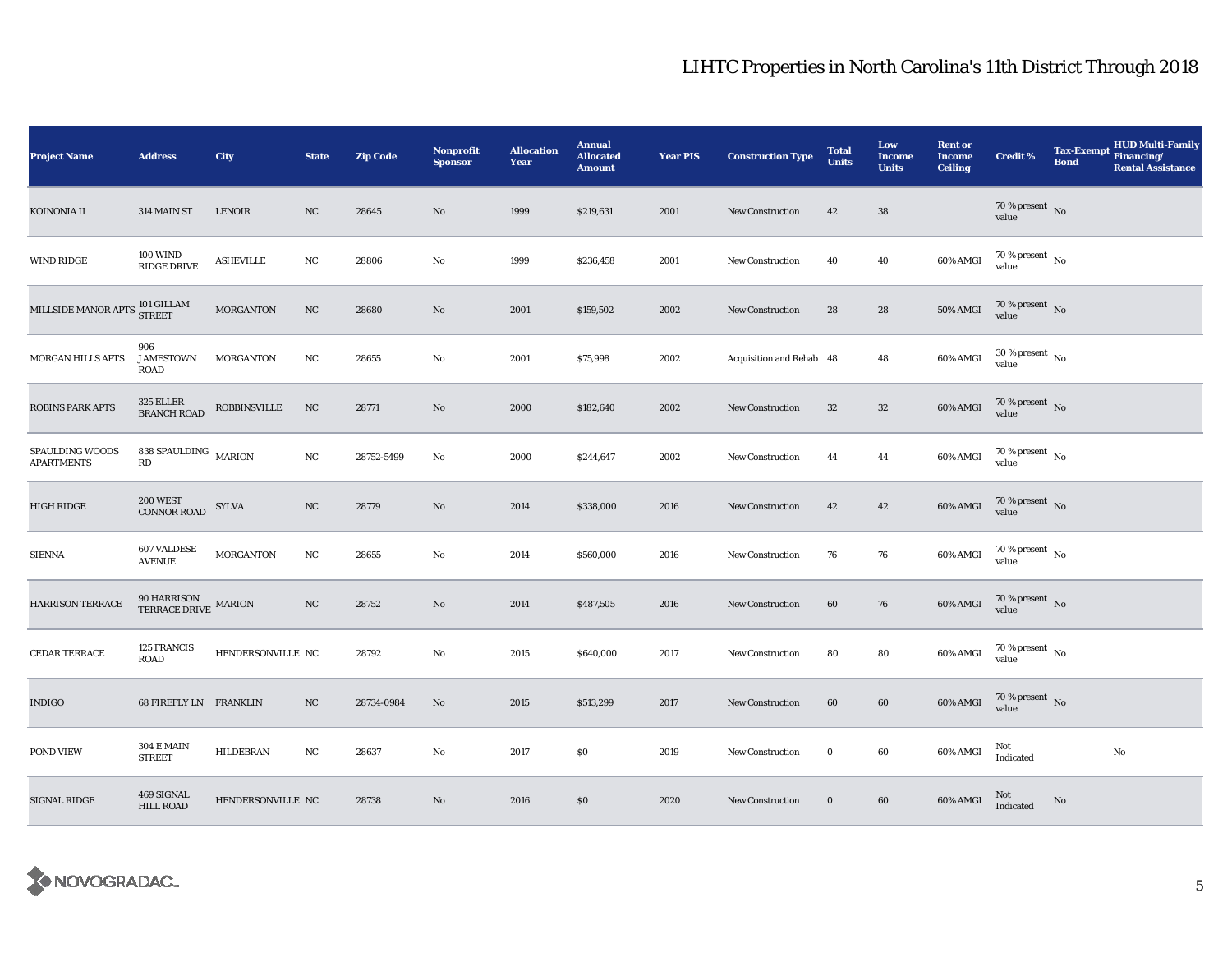| <b>Project Name</b>                                                                                                      | <b>Address</b>                                         | <b>City</b>         | <b>State</b> | <b>Zip Code</b> | Nonprofit<br><b>Sponsor</b> | <b>Allocation</b><br>Year | <b>Annual</b><br><b>Allocated</b><br><b>Amount</b> | <b>Year PIS</b> | <b>Construction Type</b> | <b>Total</b><br><b>Units</b> | Low<br><b>Income</b><br><b>Units</b> | <b>Rent or</b><br><b>Income</b><br><b>Ceiling</b> | <b>Credit %</b>                        | <b>Tax-Exempt</b><br><b>Bond</b> | HUD Multi-Family<br>Financing/<br><b>Rental Assistance</b> |
|--------------------------------------------------------------------------------------------------------------------------|--------------------------------------------------------|---------------------|--------------|-----------------|-----------------------------|---------------------------|----------------------------------------------------|-----------------|--------------------------|------------------------------|--------------------------------------|---------------------------------------------------|----------------------------------------|----------------------------------|------------------------------------------------------------|
| KOINONIA II                                                                                                              | 314 MAIN ST                                            | <b>LENOIR</b>       | NC           | 28645           | No                          | 1999                      | \$219,631                                          | 2001            | <b>New Construction</b>  | 42                           | 38                                   |                                                   | $70\,\%$ present $\,$ No value         |                                  |                                                            |
| <b>WIND RIDGE</b>                                                                                                        | <b>100 WIND</b><br>RIDGE DRIVE                         | <b>ASHEVILLE</b>    | NC           | 28806           | No                          | 1999                      | \$236,458                                          | 2001            | <b>New Construction</b>  | 40                           | 40                                   | 60% AMGI                                          | $70\,\%$ present $\,$ No $\,$<br>value |                                  |                                                            |
| $\textbf{MILLSIDE} \textbf{MANOR} \textbf{APTS} \begin{tabular}{c} \bf 101 \textbf{ GILLAM} \\ \bf STREET \end{tabular}$ |                                                        | <b>MORGANTON</b>    | NC           | 28680           | $\mathbf{N}\mathbf{o}$      | 2001                      | \$159,502                                          | 2002            | <b>New Construction</b>  | 28                           | 28                                   | <b>50% AMGI</b>                                   | $70\,\%$ present $\,$ No value         |                                  |                                                            |
| MORGAN HILLS APTS                                                                                                        | 906<br>JAMESTOWN<br>ROAD                               | MORGANTON           | NC           | 28655           | No                          | 2001                      | \$75,998                                           | 2002            | Acquisition and Rehab 48 |                              | 48                                   | 60% AMGI                                          | $30$ % present $\,$ No $\,$<br>value   |                                  |                                                            |
| <b>ROBINS PARK APTS</b>                                                                                                  | 325 ELLER<br>BRANCH ROAD                               | <b>ROBBINSVILLE</b> | NC           | 28771           | No                          | 2000                      | \$182,640                                          | 2002            | New Construction         | $32\,$                       | $32\,$                               | 60% AMGI                                          | $70\,\%$ present $\,$ No value         |                                  |                                                            |
| SPAULDING WOODS<br><b>APARTMENTS</b>                                                                                     | 838 SPAULDING $$\tt MARION$$<br>$\mathbf{R}\mathbf{D}$ |                     | $_{\rm NC}$  | 28752-5499      | No                          | 2000                      | \$244,647                                          | 2002            | New Construction         | 44                           | 44                                   | 60% AMGI                                          | 70 % present $\hbox{~No}$<br>value     |                                  |                                                            |
| <b>HIGH RIDGE</b>                                                                                                        | <b>200 WEST</b><br><b>CONNOR ROAD</b>                  | SYLVA               | $_{\rm NC}$  | 28779           | No                          | 2014                      | \$338,000                                          | 2016            | New Construction         | 42                           | 42                                   | 60% AMGI                                          | $70\,\%$ present $\,$ No value         |                                  |                                                            |
| <b>SIENNA</b>                                                                                                            | <b>607 VALDESE</b><br><b>AVENUE</b>                    | <b>MORGANTON</b>    | NC           | 28655           | No                          | 2014                      | \$560,000                                          | 2016            | <b>New Construction</b>  | 76                           | 76                                   | 60% AMGI                                          | 70 % present $\hbox{~No}$<br>value     |                                  |                                                            |
| <b>HARRISON TERRACE</b>                                                                                                  | $90$ HARRISON TERRACE DRIVE $\,$ MARION $\,$           |                     | $_{\rm NC}$  | 28752           | No                          | 2014                      | \$487,505                                          | 2016            | New Construction         | 60                           | 76                                   | 60% AMGI                                          | $70$ % present $\,$ No $\,$<br>value   |                                  |                                                            |
| CEDAR TERRACE                                                                                                            | 125 FRANCIS<br><b>ROAD</b>                             | HENDERSONVILLE NC   |              | 28792           | No                          | 2015                      | \$640,000                                          | 2017            | <b>New Construction</b>  | 80                           | 80                                   | 60% AMGI                                          | $70$ % present $\,$ No $\,$<br>value   |                                  |                                                            |
| <b>INDIGO</b>                                                                                                            | 68 FIREFLY LN FRANKLIN                                 |                     | NC           | 28734-0984      | No                          | 2015                      | \$513,299                                          | 2017            | New Construction         | 60                           | 60                                   | 60% AMGI                                          | $70\,\%$ present $\,$ No value         |                                  |                                                            |
| POND VIEW                                                                                                                | <b>304 E MAIN</b><br><b>STREET</b>                     | <b>HILDEBRAN</b>    | $_{\rm NC}$  | 28637           | No                          | 2017                      | \$0                                                | 2019            | New Construction         | $\bf{0}$                     | 60                                   | 60% AMGI                                          | Not<br>Indicated                       |                                  | No                                                         |
| <b>SIGNAL RIDGE</b>                                                                                                      | 469 SIGNAL<br>HILL ROAD                                | HENDERSONVILLE NC   |              | 28738           | $\rm No$                    | 2016                      | \$0                                                | 2020            | <b>New Construction</b>  | $\bf{0}$                     | 60                                   | 60% AMGI                                          | Not<br>Indicated                       | No                               |                                                            |

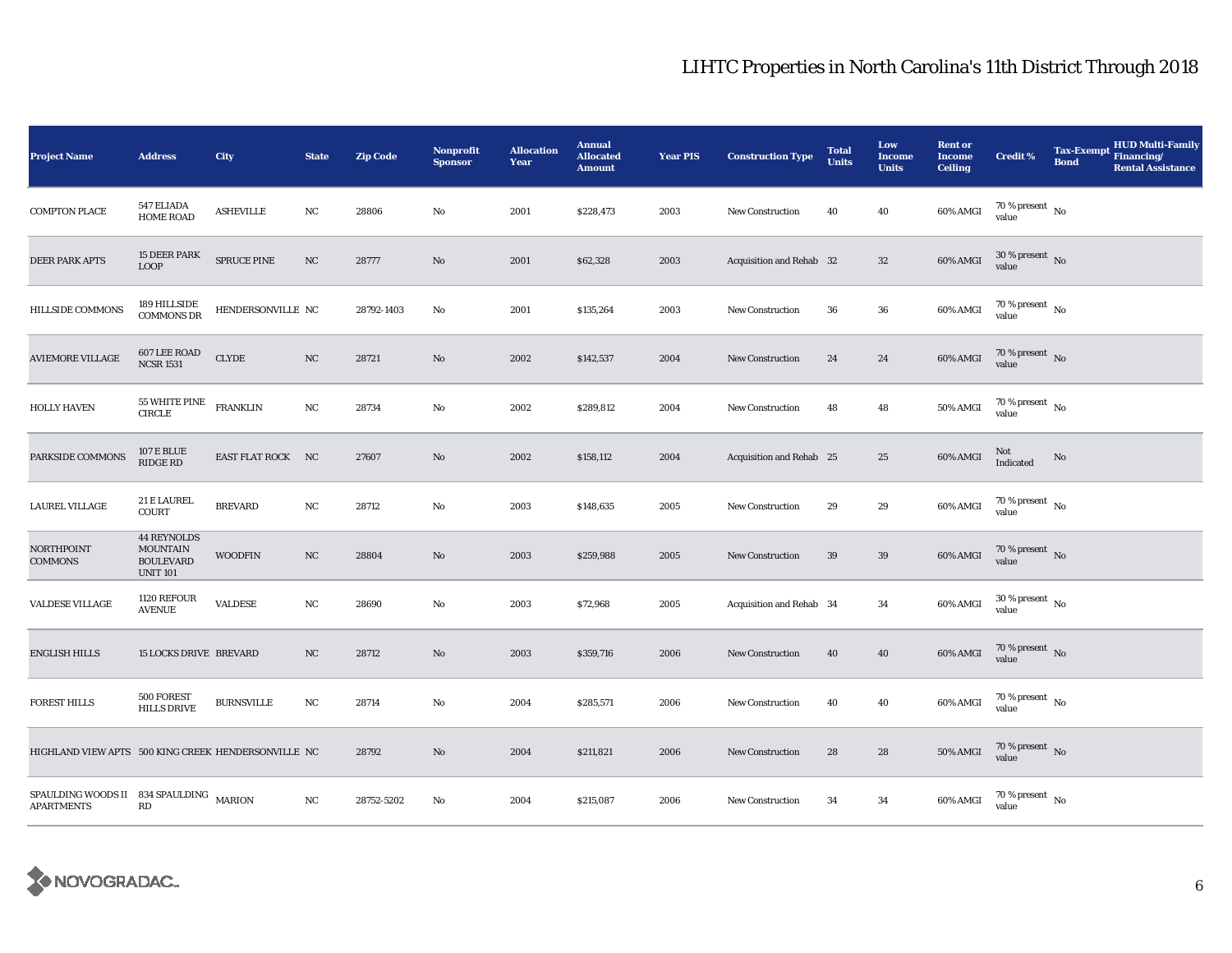| <b>Project Name</b>                                          | <b>Address</b>                                                               | City               | <b>State</b> | <b>Zip Code</b> | <b>Nonprofit</b><br><b>Sponsor</b> | <b>Allocation</b><br>Year | <b>Annual</b><br><b>Allocated</b><br><b>Amount</b> | <b>Year PIS</b> | <b>Construction Type</b> | <b>Total</b><br><b>Units</b> | Low<br><b>Income</b><br><b>Units</b> | <b>Rent or</b><br><b>Income</b><br><b>Ceiling</b> | <b>Credit %</b>                        | <b>Tax-Exempt</b><br><b>Bond</b> | <b>HUD Multi-Family</b><br>Financing/<br><b>Rental Assistance</b> |
|--------------------------------------------------------------|------------------------------------------------------------------------------|--------------------|--------------|-----------------|------------------------------------|---------------------------|----------------------------------------------------|-----------------|--------------------------|------------------------------|--------------------------------------|---------------------------------------------------|----------------------------------------|----------------------------------|-------------------------------------------------------------------|
| <b>COMPTON PLACE</b>                                         | 547 ELIADA<br><b>HOME ROAD</b>                                               | <b>ASHEVILLE</b>   | NC           | 28806           | No                                 | 2001                      | \$228,473                                          | 2003            | New Construction         | 40                           | 40                                   | 60% AMGI                                          | 70 % present $\hbox{~No}$<br>value     |                                  |                                                                   |
| <b>DEER PARK APTS</b>                                        | 15 DEER PARK<br><b>LOOP</b>                                                  | <b>SPRUCE PINE</b> | NC           | 28777           | No                                 | 2001                      | \$62,328                                           | 2003            | Acquisition and Rehab 32 |                              | $32\phantom{.0}$                     | 60% AMGI                                          | $30\,\%$ present $\,$ No $\,$<br>value |                                  |                                                                   |
| <b>HILLSIDE COMMONS</b>                                      | 189 HILLSIDE<br><b>COMMONS DR</b>                                            | HENDERSONVILLE NC  |              | 28792-1403      | No                                 | 2001                      | \$135,264                                          | 2003            | <b>New Construction</b>  | 36                           | 36                                   | 60% AMGI                                          | $70\,\%$ present $\,$ No value         |                                  |                                                                   |
| <b>AVIEMORE VILLAGE</b>                                      | 607 LEE ROAD<br><b>NCSR 1531</b>                                             | ${\tt CLYDE}$      | NC           | 28721           | No                                 | 2002                      | \$142,537                                          | 2004            | New Construction         | 24                           | 24                                   | 60% AMGI                                          | 70 % present $\hbox{~No}$<br>value     |                                  |                                                                   |
| <b>HOLLY HAVEN</b>                                           | 55 WHITE PINE<br><b>CIRCLE</b>                                               | <b>FRANKLIN</b>    | NC           | 28734           | No                                 | 2002                      | \$289,812                                          | 2004            | <b>New Construction</b>  | 48                           | 48                                   | 50% AMGI                                          | 70 % present $\hbox{~No}$<br>value     |                                  |                                                                   |
| PARKSIDE COMMONS                                             | <b>107 E BLUE</b><br><b>RIDGE RD</b>                                         | EAST FLAT ROCK NC  |              | 27607           | $\mathbf{No}$                      | 2002                      | \$158,112                                          | 2004            | Acquisition and Rehab 25 |                              | 25                                   | 60% AMGI                                          | Not<br>Indicated                       | No                               |                                                                   |
| LAUREL VILLAGE                                               | 21 E LAUREL<br>COURT                                                         | <b>BREVARD</b>     | NC           | 28712           | No                                 | 2003                      | \$148,635                                          | 2005            | New Construction         | 29                           | 29                                   | 60% AMGI                                          | 70 % present $\hbox{~No}$<br>value     |                                  |                                                                   |
| NORTHPOINT<br><b>COMMONS</b>                                 | <b>44 REYNOLDS</b><br><b>MOUNTAIN</b><br><b>BOULEVARD</b><br><b>UNIT 101</b> | <b>WOODFIN</b>     | $_{\rm NC}$  | 28804           | No                                 | 2003                      | \$259,988                                          | 2005            | New Construction         | 39                           | $39\,$                               | 60% AMGI                                          | 70 % present $\,$ No $\,$<br>value     |                                  |                                                                   |
| VALDESE VILLAGE                                              | 1120 REFOUR<br><b>AVENUE</b>                                                 | <b>VALDESE</b>     | $_{\rm NC}$  | 28690           | No                                 | 2003                      | \$72,968                                           | 2005            | Acquisition and Rehab 34 |                              | 34                                   | 60% AMGI                                          | $30$ % present $\,$ No $\,$<br>value   |                                  |                                                                   |
| <b>ENGLISH HILLS</b>                                         | <b>15 LOCKS DRIVE BREVARD</b>                                                |                    | NC           | 28712           | No                                 | 2003                      | \$359,716                                          | 2006            | <b>New Construction</b>  | 40                           | 40                                   | 60% AMGI                                          | $70\,\%$ present $\,$ No value         |                                  |                                                                   |
| <b>FOREST HILLS</b>                                          | 500 FOREST<br><b>HILLS DRIVE</b>                                             | <b>BURNSVILLE</b>  | NC           | 28714           | No                                 | 2004                      | \$285,571                                          | 2006            | <b>New Construction</b>  | 40                           | 40                                   | 60% AMGI                                          | $70\,\%$ present $_{\rm{No}}$          |                                  |                                                                   |
| HIGHLAND VIEW APTS 500 KING CREEK HENDERSONVILLE NC          |                                                                              |                    |              | 28792           | No                                 | 2004                      | \$211,821                                          | 2006            | <b>New Construction</b>  | 28                           | 28                                   | <b>50% AMGI</b>                                   | $70$ % present $$\rm{No}$$ value       |                                  |                                                                   |
| SPAULDING WOODS II 834 SPAULDING MARION<br><b>APARTMENTS</b> | RD                                                                           |                    | NC           | 28752-5202      | No                                 | 2004                      | \$215,087                                          | 2006            | New Construction         | 34                           | 34                                   | 60% AMGI                                          | $70$ % present $_{\, \rm No}$<br>value |                                  |                                                                   |

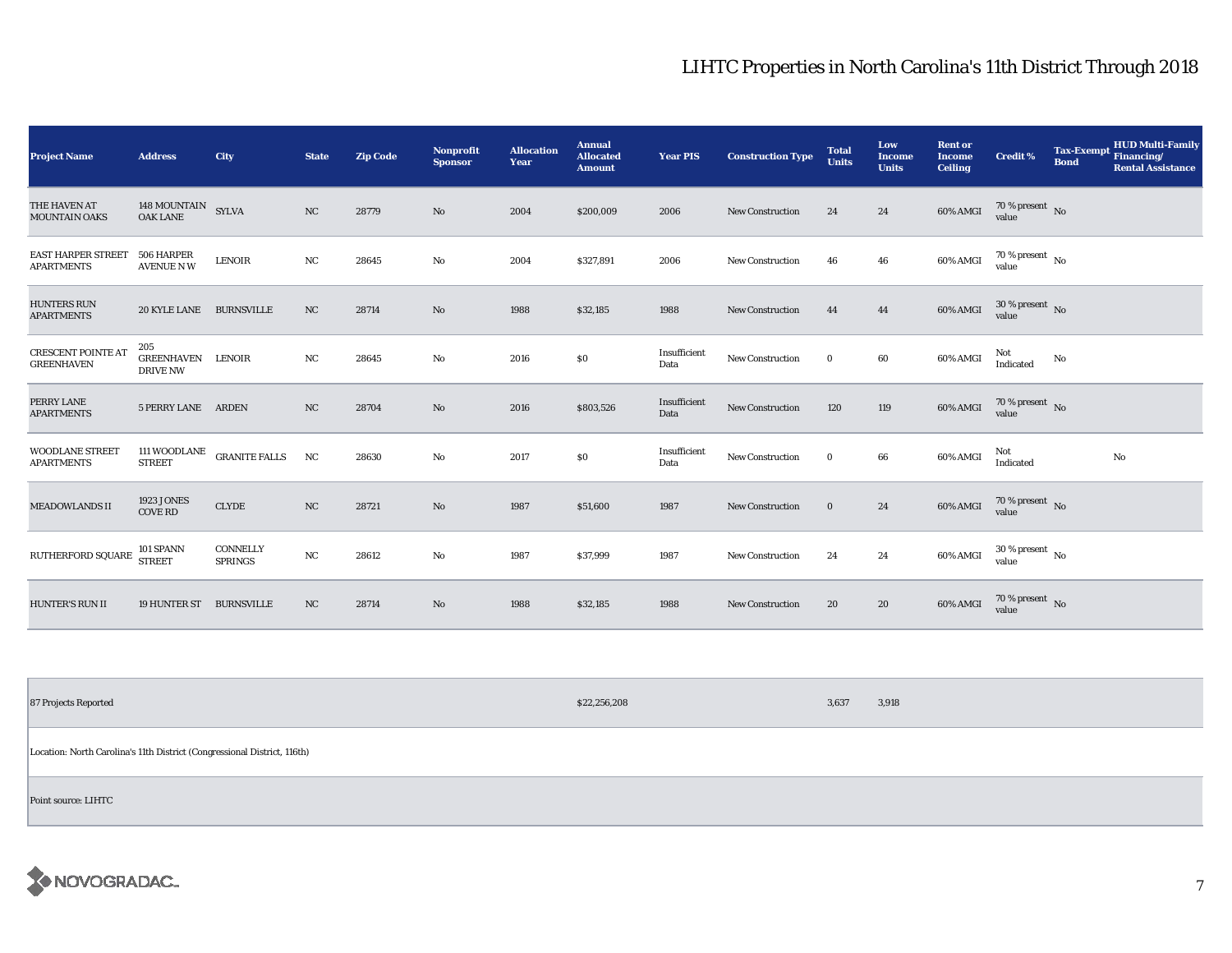| <b>Project Name</b>                            | <b>Address</b>                              | City                              | <b>State</b> | <b>Zip Code</b> | <b>Nonprofit</b><br><b>Sponsor</b> | <b>Allocation</b><br>Year | <b>Annual</b><br><b>Allocated</b><br><b>Amount</b> | <b>Year PIS</b>      | <b>Construction Type</b> | <b>Total</b><br><b>Units</b> | Low<br><b>Income</b><br><b>Units</b> | <b>Rent or</b><br><b>Income</b><br><b>Ceiling</b> | <b>Credit %</b>                | <b>Bond</b> | <b>HUD Multi-Family</b><br>Tax-Exempt Financing/<br><b>Rental Assistance</b> |
|------------------------------------------------|---------------------------------------------|-----------------------------------|--------------|-----------------|------------------------------------|---------------------------|----------------------------------------------------|----------------------|--------------------------|------------------------------|--------------------------------------|---------------------------------------------------|--------------------------------|-------------|------------------------------------------------------------------------------|
| THE HAVEN AT<br><b>MOUNTAIN OAKS</b>           | 148 MOUNTAIN SYLVA<br><b>OAK LANE</b>       |                                   | NC           | 28779           | No                                 | 2004                      | \$200,009                                          | 2006                 | <b>New Construction</b>  | 24                           | 24                                   | 60% AMGI                                          | $70\,\%$ present $\,$ No value |             |                                                                              |
| <b>EAST HARPER STREET</b><br><b>APARTMENTS</b> | 506 HARPER<br><b>AVENUE NW</b>              | <b>LENOIR</b>                     | NC           | 28645           | No                                 | 2004                      | \$327,891                                          | 2006                 | <b>New Construction</b>  | 46                           | 46                                   | 60% AMGI                                          | $70\,\%$ present $\,$ No value |             |                                                                              |
| <b>HUNTERS RUN</b><br><b>APARTMENTS</b>        | 20 KYLE LANE BURNSVILLE                     |                                   | NC           | 28714           | No                                 | 1988                      | \$32,185                                           | 1988                 | <b>New Construction</b>  | 44                           | 44                                   | 60% AMGI                                          | $30\,\%$ present $\,$ No value |             |                                                                              |
| <b>CRESCENT POINTE AT</b><br><b>GREENHAVEN</b> | 205<br><b>GREENHAVEN</b><br><b>DRIVE NW</b> | <b>LENOIR</b>                     | NC           | 28645           | No                                 | 2016                      | \$0                                                | Insufficient<br>Data | New Construction         | $\bf{0}$                     | 60                                   | 60% AMGI                                          | Not<br>Indicated               | No          |                                                                              |
| PERRY LANE<br><b>APARTMENTS</b>                | 5 PERRY LANE ARDEN                          |                                   | $_{\rm NC}$  | 28704           | No                                 | 2016                      | \$803,526                                          | Insufficient<br>Data | New Construction         | 120                          | 119                                  | 60% AMGI                                          | $70\,\%$ present $\,$ No value |             |                                                                              |
| <b>WOODLANE STREET</b><br><b>APARTMENTS</b>    | 111 WOODLANE<br><b>STREET</b>               | <b>GRANITE FALLS</b>              | NC           | 28630           | No                                 | 2017                      | \$0                                                | Insufficient<br>Data | New Construction         | $\bf{0}$                     | 66                                   | 60% AMGI                                          | Not<br>Indicated               |             | No                                                                           |
| <b>MEADOWLANDS II</b>                          | <b>1923 JONES</b><br><b>COVE RD</b>         | <b>CLYDE</b>                      | NC           | 28721           | No                                 | 1987                      | \$51,600                                           | 1987                 | New Construction         | $\mathbf{0}$                 | 24                                   | 60% AMGI                                          | $70\,\%$ present $\,$ No value |             |                                                                              |
| RUTHERFORD SQUARE                              | 101 SPANN<br><b>STREET</b>                  | <b>CONNELLY</b><br><b>SPRINGS</b> | $_{\rm NC}$  | 28612           | No                                 | 1987                      | \$37,999                                           | 1987                 | <b>New Construction</b>  | 24                           | 24                                   | 60% AMGI                                          | $30\,\%$ present $\,$ No value |             |                                                                              |
| <b>HUNTER'S RUN II</b>                         | 19 HUNTER ST                                | <b>BURNSVILLE</b>                 | NC           | 28714           | No                                 | 1988                      | \$32,185                                           | 1988                 | <b>New Construction</b>  | 20                           | 20                                   | 60% AMGI                                          | $70\,\%$ present $\,$ No value |             |                                                                              |

87 Projects Reported \$22,256,208 3,637 3,918 3,637 3,918 3,637 3,918 3,637 3,918 3,637 3,918 3,637 3,918 3,637 Location: North Carolina's 11th District (Congressional District, 116th)

Point source: LIHTC